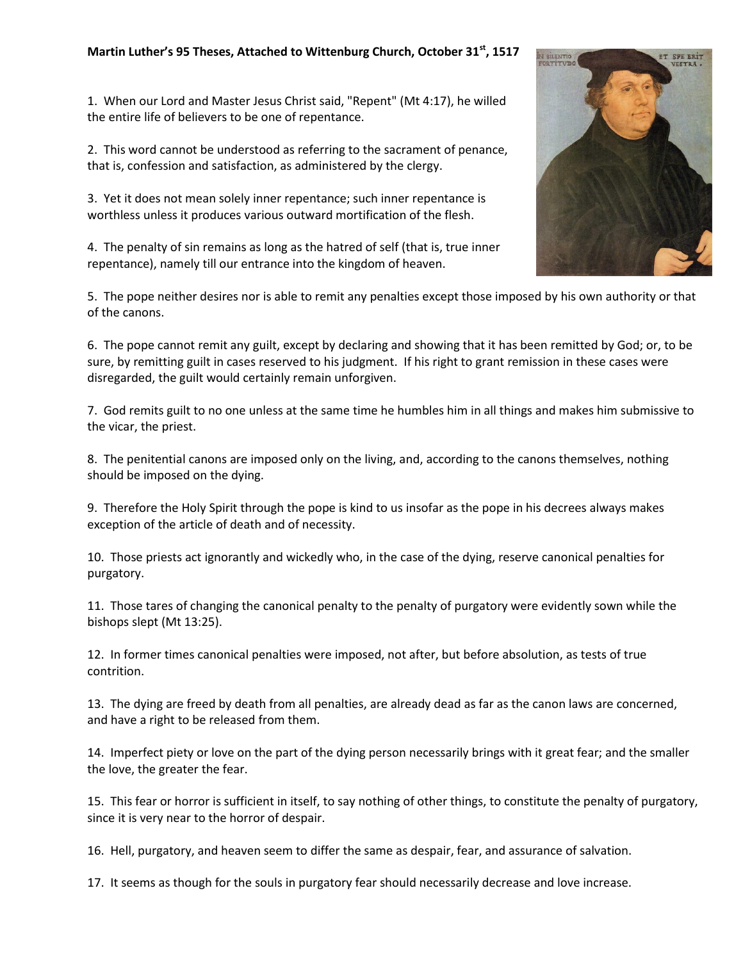## **Martin Luther's 95 Theses, Attached to Wittenburg Church, October 31st, 1517**

1. When our Lord and Master Jesus Christ said, "Repent" (Mt 4:17), he willed the entire life of believers to be one of repentance.

2. This word cannot be understood as referring to the sacrament of penance, that is, confession and satisfaction, as administered by the clergy.

3. Yet it does not mean solely inner repentance; such inner repentance is worthless unless it produces various outward mortification of the flesh.

4. The penalty of sin remains as long as the hatred of self (that is, true inner repentance), namely till our entrance into the kingdom of heaven.

5. The pope neither desires nor is able to remit any penalties except those imposed by his own authority or that of the canons.

6. The pope cannot remit any guilt, except by declaring and showing that it has been remitted by God; or, to be sure, by remitting guilt in cases reserved to his judgment. If his right to grant remission in these cases were disregarded, the guilt would certainly remain unforgiven.

7. God remits guilt to no one unless at the same time he humbles him in all things and makes him submissive to the vicar, the priest.

8. The penitential canons are imposed only on the living, and, according to the canons themselves, nothing should be imposed on the dying.

9. Therefore the Holy Spirit through the pope is kind to us insofar as the pope in his decrees always makes exception of the article of death and of necessity.

10. Those priests act ignorantly and wickedly who, in the case of the dying, reserve canonical penalties for purgatory.

11. Those tares of changing the canonical penalty to the penalty of purgatory were evidently sown while the bishops slept (Mt 13:25).

12. In former times canonical penalties were imposed, not after, but before absolution, as tests of true contrition.

13. The dying are freed by death from all penalties, are already dead as far as the canon laws are concerned, and have a right to be released from them.

14. Imperfect piety or love on the part of the dying person necessarily brings with it great fear; and the smaller the love, the greater the fear.

15. This fear or horror is sufficient in itself, to say nothing of other things, to constitute the penalty of purgatory, since it is very near to the horror of despair.

16. Hell, purgatory, and heaven seem to differ the same as despair, fear, and assurance of salvation.

17. It seems as though for the souls in purgatory fear should necessarily decrease and love increase.

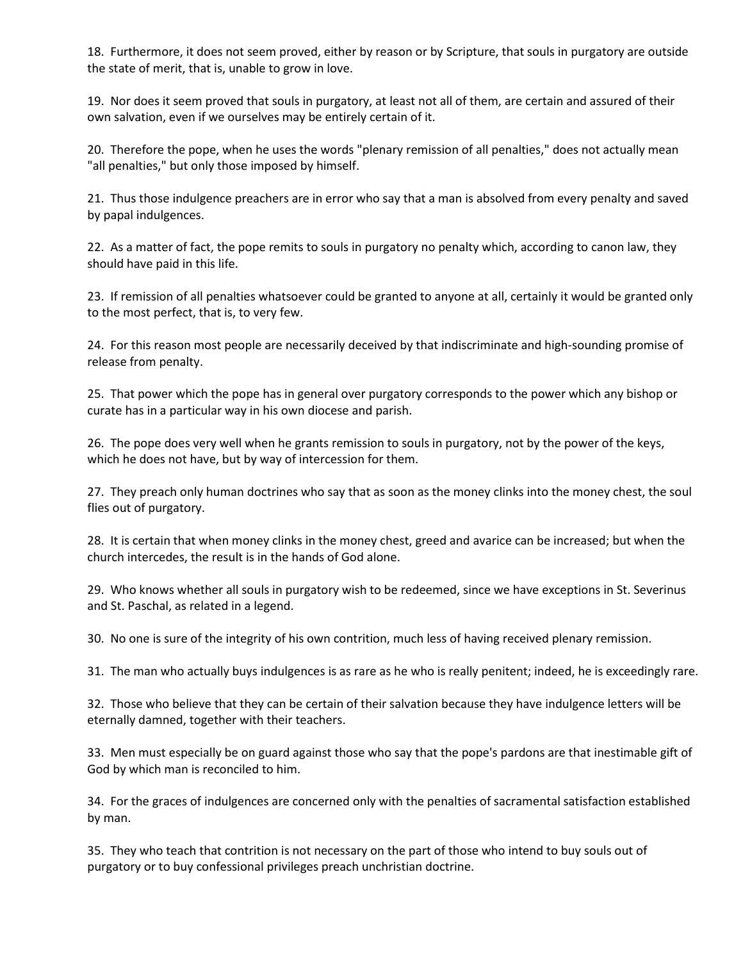18. Furthermore, it does not seem proved, either by reason or by Scripture, that souls in purgatory are outside the state of merit, that is, unable to grow in love.

19. Nor does it seem proved that souls in purgatory, at least not all of them, are certain and assured of their own salvation, even if we ourselves may be entirely certain of it.

20. Therefore the pope, when he uses the words "plenary remission of all penalties," does not actually mean "all penalties," but only those imposed by himself.

21. Thus those indulgence preachers are in error who say that a man is absolved from every penalty and saved by papal indulgences.

22. As a matter of fact, the pope remits to souls in purgatory no penalty which, according to canon law, they should have paid in this life.

23. If remission of all penalties whatsoever could be granted to anyone at all, certainly it would be granted only to the most perfect, that is, to very few.

24. For this reason most people are necessarily deceived by that indiscriminate and high-sounding promise of release from penalty.

25. That power which the pope has in general over purgatory corresponds to the power which any bishop or curate has in a particular way in his own diocese and parish.

26. The pope does very well when he grants remission to souls in purgatory, not by the power of the keys, which he does not have, but by way of intercession for them.

27. They preach only human doctrines who say that as soon as the money clinks into the money chest, the soul flies out of purgatory.

28. It is certain that when money clinks in the money chest, greed and avarice can be increased; but when the church intercedes, the result is in the hands of God alone.

29. Who knows whether all souls in purgatory wish to be redeemed, since we have exceptions in St. Severinus and St. Paschal, as related in a legend.

30. No one is sure of the integrity of his own contrition, much less of having received plenary remission.

31. The man who actually buys indulgences is as rare as he who is really penitent; indeed, he is exceedingly rare.

32. Those who believe that they can be certain of their salvation because they have indulgence letters will be eternally damned, together with their teachers.

33. Men must especially be on guard against those who say that the pope's pardons are that inestimable gift of God by which man is reconciled to him.

34. For the graces of indulgences are concerned only with the penalties of sacramental satisfaction established by man.

35. They who teach that contrition is not necessary on the part of those who intend to buy souls out of purgatory or to buy confessional privileges preach unchristian doctrine.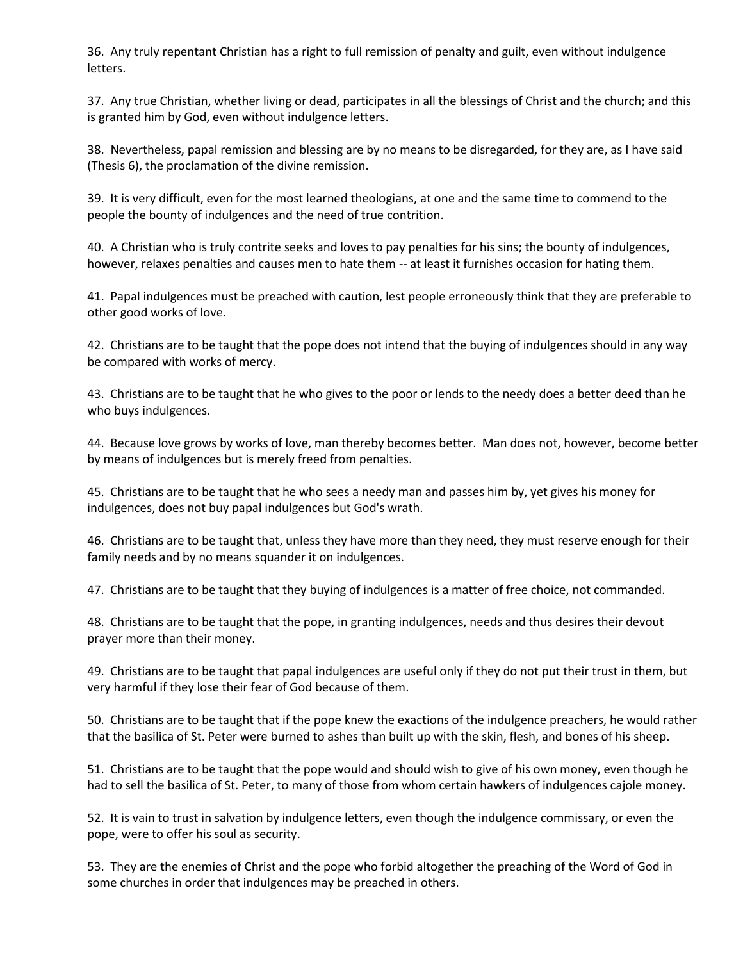36. Any truly repentant Christian has a right to full remission of penalty and guilt, even without indulgence letters.

37. Any true Christian, whether living or dead, participates in all the blessings of Christ and the church; and this is granted him by God, even without indulgence letters.

38. Nevertheless, papal remission and blessing are by no means to be disregarded, for they are, as I have said (Thesis 6), the proclamation of the divine remission.

39. It is very difficult, even for the most learned theologians, at one and the same time to commend to the people the bounty of indulgences and the need of true contrition.

40. A Christian who is truly contrite seeks and loves to pay penalties for his sins; the bounty of indulgences, however, relaxes penalties and causes men to hate them -- at least it furnishes occasion for hating them.

41. Papal indulgences must be preached with caution, lest people erroneously think that they are preferable to other good works of love.

42. Christians are to be taught that the pope does not intend that the buying of indulgences should in any way be compared with works of mercy.

43. Christians are to be taught that he who gives to the poor or lends to the needy does a better deed than he who buys indulgences.

44. Because love grows by works of love, man thereby becomes better. Man does not, however, become better by means of indulgences but is merely freed from penalties.

45. Christians are to be taught that he who sees a needy man and passes him by, yet gives his money for indulgences, does not buy papal indulgences but God's wrath.

46. Christians are to be taught that, unless they have more than they need, they must reserve enough for their family needs and by no means squander it on indulgences.

47. Christians are to be taught that they buying of indulgences is a matter of free choice, not commanded.

48. Christians are to be taught that the pope, in granting indulgences, needs and thus desires their devout prayer more than their money.

49. Christians are to be taught that papal indulgences are useful only if they do not put their trust in them, but very harmful if they lose their fear of God because of them.

50. Christians are to be taught that if the pope knew the exactions of the indulgence preachers, he would rather that the basilica of St. Peter were burned to ashes than built up with the skin, flesh, and bones of his sheep.

51. Christians are to be taught that the pope would and should wish to give of his own money, even though he had to sell the basilica of St. Peter, to many of those from whom certain hawkers of indulgences cajole money.

52. It is vain to trust in salvation by indulgence letters, even though the indulgence commissary, or even the pope, were to offer his soul as security.

53. They are the enemies of Christ and the pope who forbid altogether the preaching of the Word of God in some churches in order that indulgences may be preached in others.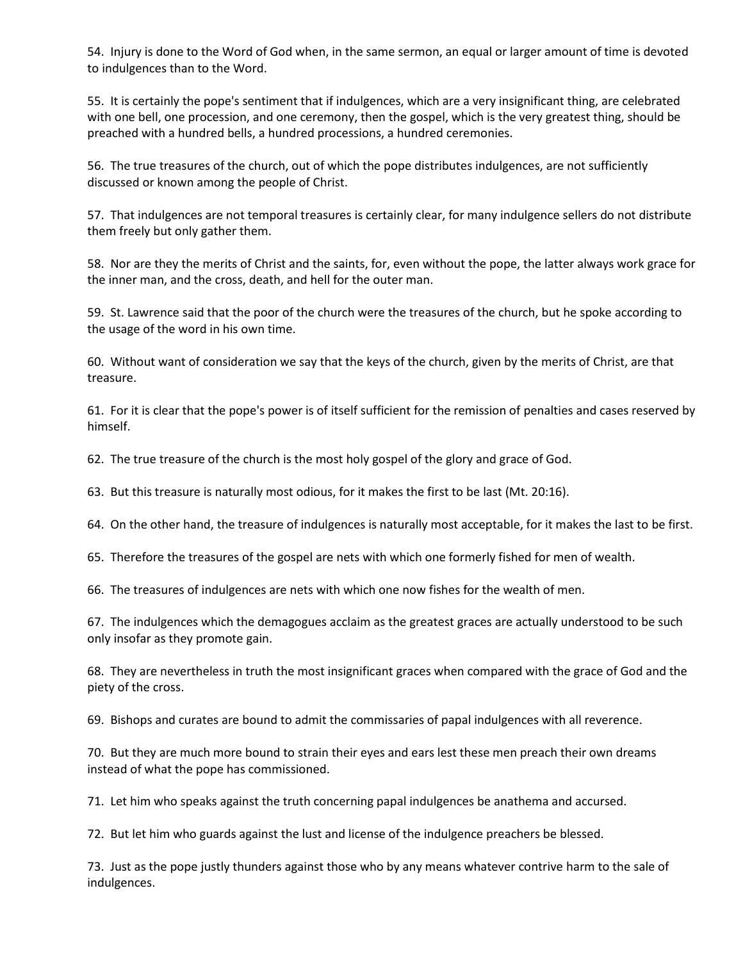54. Injury is done to the Word of God when, in the same sermon, an equal or larger amount of time is devoted to indulgences than to the Word.

55. It is certainly the pope's sentiment that if indulgences, which are a very insignificant thing, are celebrated with one bell, one procession, and one ceremony, then the gospel, which is the very greatest thing, should be preached with a hundred bells, a hundred processions, a hundred ceremonies.

56. The true treasures of the church, out of which the pope distributes indulgences, are not sufficiently discussed or known among the people of Christ.

57. That indulgences are not temporal treasures is certainly clear, for many indulgence sellers do not distribute them freely but only gather them.

58. Nor are they the merits of Christ and the saints, for, even without the pope, the latter always work grace for the inner man, and the cross, death, and hell for the outer man.

59. St. Lawrence said that the poor of the church were the treasures of the church, but he spoke according to the usage of the word in his own time.

60. Without want of consideration we say that the keys of the church, given by the merits of Christ, are that treasure.

61. For it is clear that the pope's power is of itself sufficient for the remission of penalties and cases reserved by himself.

62. The true treasure of the church is the most holy gospel of the glory and grace of God.

63. But this treasure is naturally most odious, for it makes the first to be last (Mt. 20:16).

64. On the other hand, the treasure of indulgences is naturally most acceptable, for it makes the last to be first.

65. Therefore the treasures of the gospel are nets with which one formerly fished for men of wealth.

66. The treasures of indulgences are nets with which one now fishes for the wealth of men.

67. The indulgences which the demagogues acclaim as the greatest graces are actually understood to be such only insofar as they promote gain.

68. They are nevertheless in truth the most insignificant graces when compared with the grace of God and the piety of the cross.

69. Bishops and curates are bound to admit the commissaries of papal indulgences with all reverence.

70. But they are much more bound to strain their eyes and ears lest these men preach their own dreams instead of what the pope has commissioned.

71. Let him who speaks against the truth concerning papal indulgences be anathema and accursed.

72. But let him who guards against the lust and license of the indulgence preachers be blessed.

73. Just as the pope justly thunders against those who by any means whatever contrive harm to the sale of indulgences.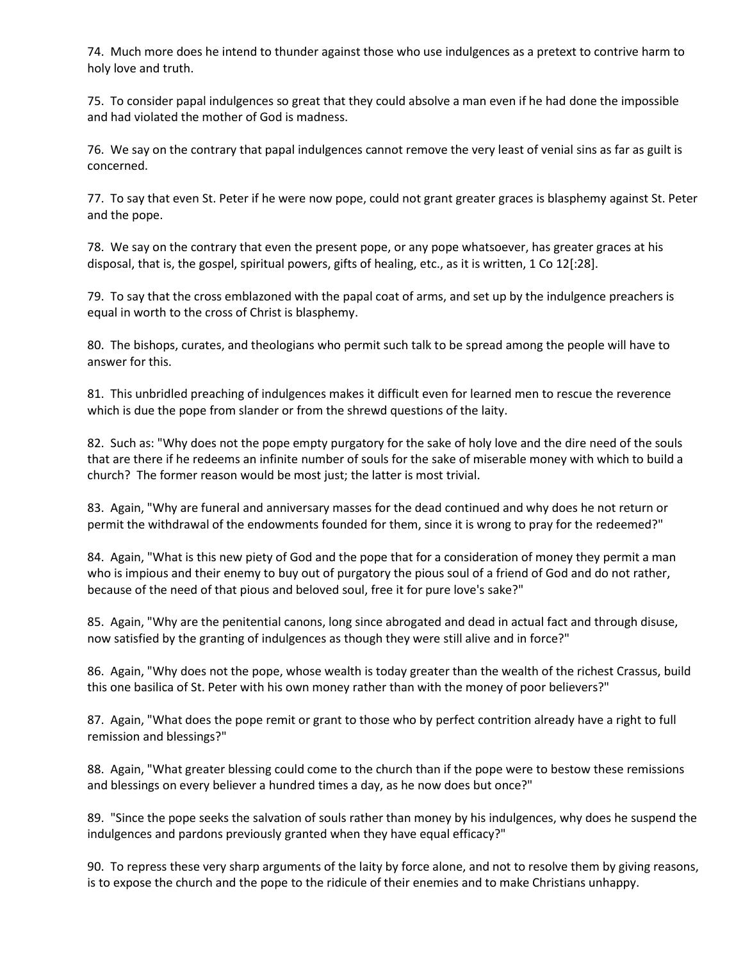74. Much more does he intend to thunder against those who use indulgences as a pretext to contrive harm to holy love and truth.

75. To consider papal indulgences so great that they could absolve a man even if he had done the impossible and had violated the mother of God is madness.

76. We say on the contrary that papal indulgences cannot remove the very least of venial sins as far as guilt is concerned.

77. To say that even St. Peter if he were now pope, could not grant greater graces is blasphemy against St. Peter and the pope.

78. We say on the contrary that even the present pope, or any pope whatsoever, has greater graces at his disposal, that is, the gospel, spiritual powers, gifts of healing, etc., as it is written, 1 Co 12[:28].

79. To say that the cross emblazoned with the papal coat of arms, and set up by the indulgence preachers is equal in worth to the cross of Christ is blasphemy.

80. The bishops, curates, and theologians who permit such talk to be spread among the people will have to answer for this.

81. This unbridled preaching of indulgences makes it difficult even for learned men to rescue the reverence which is due the pope from slander or from the shrewd questions of the laity.

82. Such as: "Why does not the pope empty purgatory for the sake of holy love and the dire need of the souls that are there if he redeems an infinite number of souls for the sake of miserable money with which to build a church? The former reason would be most just; the latter is most trivial.

83. Again, "Why are funeral and anniversary masses for the dead continued and why does he not return or permit the withdrawal of the endowments founded for them, since it is wrong to pray for the redeemed?"

84. Again, "What is this new piety of God and the pope that for a consideration of money they permit a man who is impious and their enemy to buy out of purgatory the pious soul of a friend of God and do not rather, because of the need of that pious and beloved soul, free it for pure love's sake?"

85. Again, "Why are the penitential canons, long since abrogated and dead in actual fact and through disuse, now satisfied by the granting of indulgences as though they were still alive and in force?"

86. Again, "Why does not the pope, whose wealth is today greater than the wealth of the richest Crassus, build this one basilica of St. Peter with his own money rather than with the money of poor believers?"

87. Again, "What does the pope remit or grant to those who by perfect contrition already have a right to full remission and blessings?"

88. Again, "What greater blessing could come to the church than if the pope were to bestow these remissions and blessings on every believer a hundred times a day, as he now does but once?"

89. "Since the pope seeks the salvation of souls rather than money by his indulgences, why does he suspend the indulgences and pardons previously granted when they have equal efficacy?"

90. To repress these very sharp arguments of the laity by force alone, and not to resolve them by giving reasons, is to expose the church and the pope to the ridicule of their enemies and to make Christians unhappy.